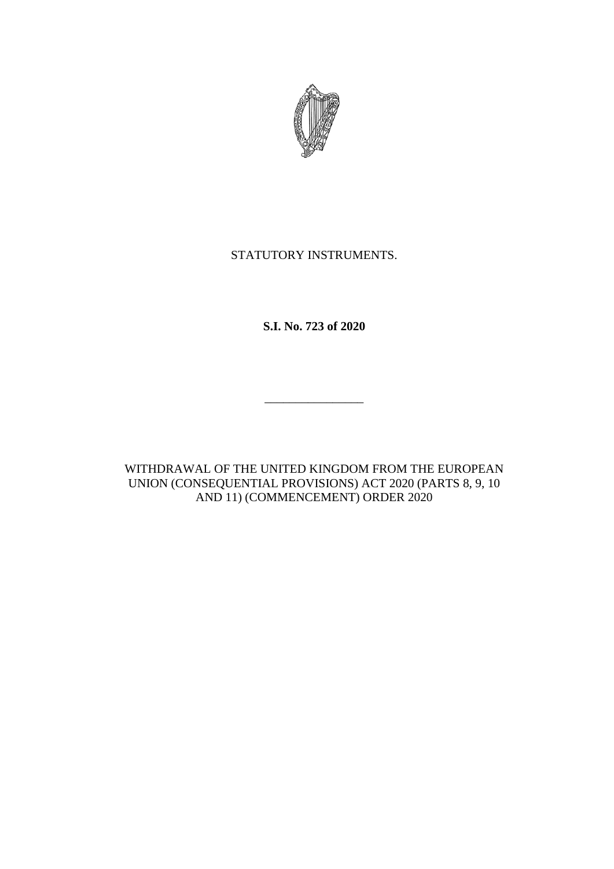

## STATUTORY INSTRUMENTS.

**S.I. No. 723 of 2020**

\_\_\_\_\_\_\_\_\_\_\_\_\_\_\_\_

WITHDRAWAL OF THE UNITED KINGDOM FROM THE EUROPEAN UNION (CONSEQUENTIAL PROVISIONS) ACT 2020 (PARTS 8, 9, 10 AND 11) (COMMENCEMENT) ORDER 2020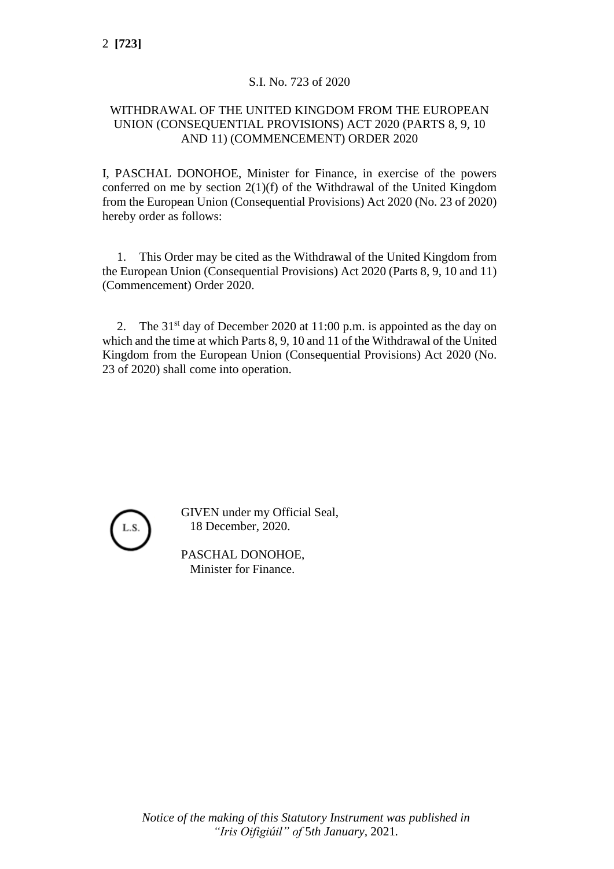## S.I. No. 723 of 2020

## WITHDRAWAL OF THE UNITED KINGDOM FROM THE EUROPEAN UNION (CONSEQUENTIAL PROVISIONS) ACT 2020 (PARTS 8, 9, 10 AND 11) (COMMENCEMENT) ORDER 2020

I, PASCHAL DONOHOE, Minister for Finance, in exercise of the powers conferred on me by section  $2(1)(f)$  of the Withdrawal of the United Kingdom from the European Union (Consequential Provisions) Act 2020 (No. 23 of 2020) hereby order as follows:

1. This Order may be cited as the Withdrawal of the United Kingdom from the European Union (Consequential Provisions) Act 2020 (Parts 8, 9, 10 and 11) (Commencement) Order 2020.

2. The  $31<sup>st</sup>$  day of December 2020 at 11:00 p.m. is appointed as the day on which and the time at which Parts 8, 9, 10 and 11 of the Withdrawal of the United Kingdom from the European Union (Consequential Provisions) Act 2020 (No. 23 of 2020) shall come into operation.



GIVEN under my Official Seal, 18 December, 2020.

PASCHAL DONOHOE, Minister for Finance.